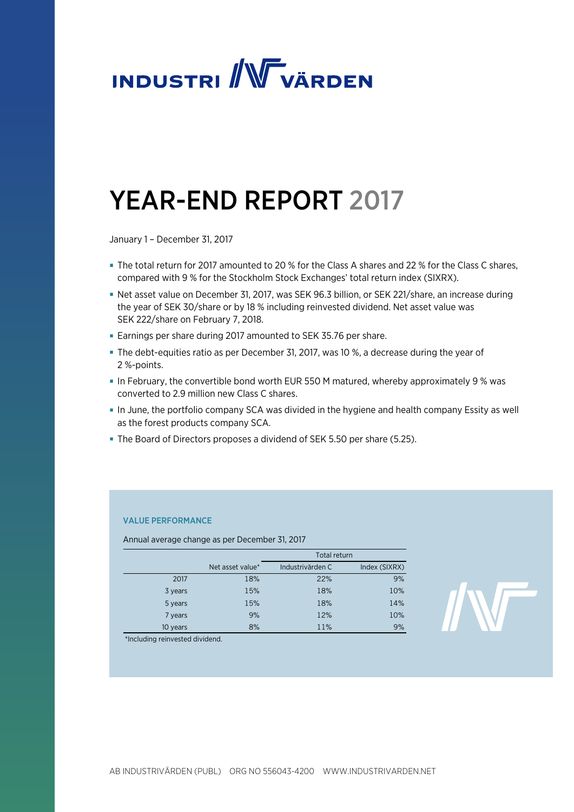

# YEAR-END REPORT 2017

January 1 – December 31, 2017

- The total return for 2017 amounted to 20 % for the Class A shares and 22 % for the Class C shares, compared with 9 % for the Stockholm Stock Exchanges' total return index (SIXRX).
- Net asset value on December 31, 2017, was SEK 96.3 billion, or SEK 221/share, an increase during the year of SEK 30/share or by 18 % including reinvested dividend. Net asset value was SEK 222/share on February 7, 2018.
- Earnings per share during 2017 amounted to SEK 35.76 per share.
- The debt-equities ratio as per December 31, 2017, was 10 %, a decrease during the year of 2 %-points.
- In February, the convertible bond worth EUR 550 M matured, whereby approximately 9 % was converted to 2.9 million new Class C shares.
- In June, the portfolio company SCA was divided in the hygiene and health company Essity as well as the forest products company SCA.
- The Board of Directors proposes a dividend of SEK 5.50 per share (5.25).

# VALUE PERFORMANCE

Annual average change as per December 31, 2017

|          |                  | Total return     |               |
|----------|------------------|------------------|---------------|
|          | Net asset value* | Industrivärden C | Index (SIXRX) |
| 2017     | 18%              | 22%              | 9%            |
| 3 years  | 15%              | 18%              | 10%           |
| 5 years  | 15%              | 18%              | 14%           |
| 7 years  | 9%               | 12%              | 10%           |
| 10 years | 8%               | 11%              | 9%            |



\*Including reinvested dividend.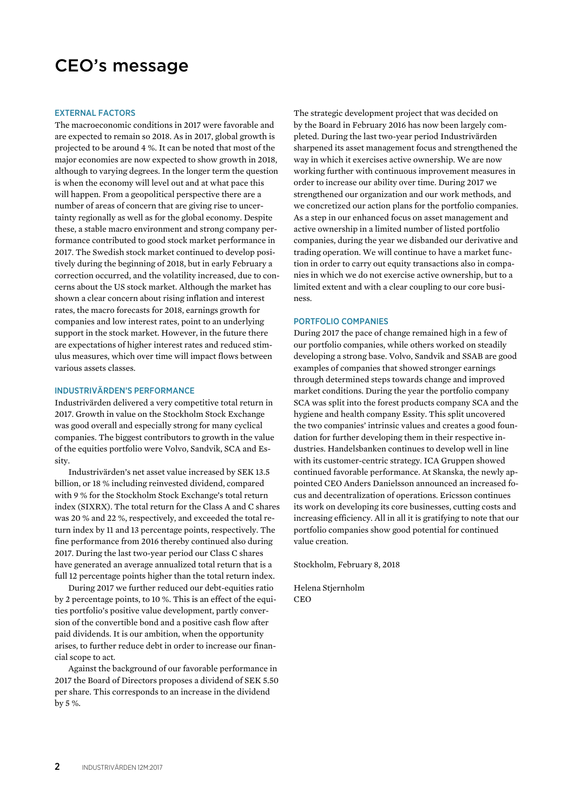# CEO's message

#### EXTERNAL FACTORS

The macroeconomic conditions in 2017 were favorable and are expected to remain so 2018. As in 2017, global growth is projected to be around 4 %. It can be noted that most of the major economies are now expected to show growth in 2018, although to varying degrees. In the longer term the question is when the economy will level out and at what pace this will happen. From a geopolitical perspective there are a number of areas of concern that are giving rise to uncertainty regionally as well as for the global economy. Despite these, a stable macro environment and strong company performance contributed to good stock market performance in 2017. The Swedish stock market continued to develop positively during the beginning of 2018, but in early February a correction occurred, and the volatility increased, due to concerns about the US stock market. Although the market has shown a clear concern about rising inflation and interest rates, the macro forecasts for 2018, earnings growth for companies and low interest rates, point to an underlying support in the stock market. However, in the future there are expectations of higher interest rates and reduced stimulus measures, which over time will impact flows between various assets classes.

# INDUSTRIVÄRDEN'S PERFORMANCE

Industrivärden delivered a very competitive total return in 2017. Growth in value on the Stockholm Stock Exchange was good overall and especially strong for many cyclical companies. The biggest contributors to growth in the value of the equities portfolio were Volvo, Sandvik, SCA and Essity.

Industrivärden's net asset value increased by SEK 13.5 billion, or 18 % including reinvested dividend, compared with 9 % for the Stockholm Stock Exchange's total return index (SIXRX). The total return for the Class A and C shares was 20 % and 22 %, respectively, and exceeded the total return index by 11 and 13 percentage points, respectively. The fine performance from 2016 thereby continued also during 2017. During the last two-year period our Class C shares have generated an average annualized total return that is a full 12 percentage points higher than the total return index.

During 2017 we further reduced our debt-equities ratio by 2 percentage points, to 10 %. This is an effect of the equities portfolio's positive value development, partly conversion of the convertible bond and a positive cash flow after paid dividends. It is our ambition, when the opportunity arises, to further reduce debt in order to increase our financial scope to act.

Against the background of our favorable performance in 2017 the Board of Directors proposes a dividend of SEK 5.50 per share. This corresponds to an increase in the dividend by 5 %.

The strategic development project that was decided on by the Board in February 2016 has now been largely completed. During the last two-year period Industrivärden sharpened its asset management focus and strengthened the way in which it exercises active ownership. We are now working further with continuous improvement measures in order to increase our ability over time. During 2017 we strengthened our organization and our work methods, and we concretized our action plans for the portfolio companies. As a step in our enhanced focus on asset management and active ownership in a limited number of listed portfolio companies, during the year we disbanded our derivative and trading operation. We will continue to have a market function in order to carry out equity transactions also in companies in which we do not exercise active ownership, but to a limited extent and with a clear coupling to our core business.

#### PORTFOLIO COMPANIES

During 2017 the pace of change remained high in a few of our portfolio companies, while others worked on steadily developing a strong base. Volvo, Sandvik and SSAB are good examples of companies that showed stronger earnings through determined steps towards change and improved market conditions. During the year the portfolio company SCA was split into the forest products company SCA and the hygiene and health company Essity. This split uncovered the two companies' intrinsic values and creates a good foundation for further developing them in their respective industries. Handelsbanken continues to develop well in line with its customer-centric strategy. ICA Gruppen showed continued favorable performance. At Skanska, the newly appointed CEO Anders Danielsson announced an increased focus and decentralization of operations. Ericsson continues its work on developing its core businesses, cutting costs and increasing efficiency. All in all it is gratifying to note that our portfolio companies show good potential for continued value creation.

Stockholm, February 8, 2018

Helena Stjernholm CEO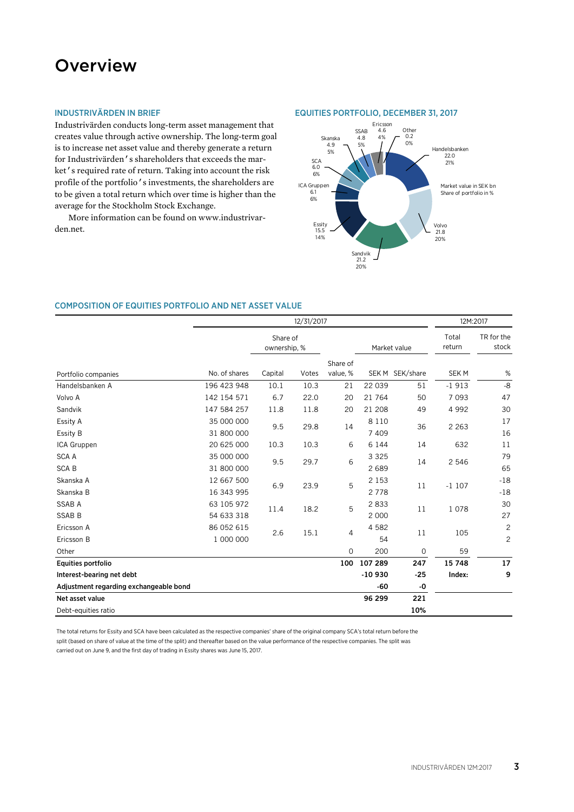# **Overview**

# INDUSTRIVÄRDEN IN BRIEF

Industrivärden conducts long-term asset management that creates value through active ownership. The long-term goal is to increase net asset value and thereby generate a return for Industrivärden's shareholders that exceeds the market's required rate of return. Taking into account the risk profile of the portfolio's investments, the shareholders are to be given a total return which over time is higher than the average for the Stockholm Stock Exchange.

More information can be found on www.industrivarden.net.

#### EQUITIES PORTFOLIO, DECEMBER 31, 2017



### COMPOSITION OF EQUITIES PORTFOLIO AND NET ASSET VALUE

|                                        | 12/31/2017               |                          |       |                      | 12M:2017           |                 |                 |                                |
|----------------------------------------|--------------------------|--------------------------|-------|----------------------|--------------------|-----------------|-----------------|--------------------------------|
|                                        |                          | Share of<br>ownership. % |       |                      |                    | Market value    | Total<br>return | TR for the<br>stock            |
| Portfolio companies                    | No. of shares            | Capital                  | Votes | Share of<br>value, % |                    | SEK M SEK/share | <b>SEKM</b>     | %                              |
| Handelsbanken A                        | 196 423 948              | 10.1                     | 10.3  | 21                   | 22 039             | 51              | $-1913$         | $-8$                           |
| Volvo A                                | 142 154 571              | 6.7                      | 22.0  | 20                   | 21 764             | 50              | 7 0 9 3         | 47                             |
| Sandvik                                | 147 584 257              | 11.8                     | 11.8  | 20                   | 21 208             | 49              | 4 9 9 2         | 30                             |
| Essity A<br>Essity B                   | 35 000 000<br>31 800 000 | 9.5                      | 29.8  | 14                   | 8 1 1 0<br>7 4 0 9 | 36              | 2 2 6 3         | 17<br>16                       |
| ICA Gruppen                            | 20 625 000               | 10.3                     | 10.3  | 6                    | 6 1 4 4            | 14              | 632             | 11                             |
| <b>SCA A</b><br><b>SCAB</b>            | 35 000 000<br>31 800 000 | 9.5                      | 29.7  | 6                    | 3 3 2 5<br>2689    | 14              | 2 5 4 6         | 79<br>65                       |
| Skanska A<br>Skanska B                 | 12 667 500<br>16 343 995 | 6.9                      | 23.9  | 5                    | 2 1 5 3<br>2778    | 11              | $-1107$         | $-18$<br>$-18$                 |
| <b>SSAB A</b><br><b>SSAB B</b>         | 63 105 972<br>54 633 318 | 11.4                     | 18.2  | 5                    | 2833<br>2 0 0 0    | 11              | 1078            | 30<br>27                       |
| Ericsson A<br>Ericsson B               | 86 052 615<br>1 000 000  | 2.6                      | 15.1  | $\overline{4}$       | 4 5 8 2<br>54      | 11              | 105             | $\mathbf{2}$<br>$\overline{c}$ |
| Other                                  |                          |                          |       | 0                    | 200                | 0               | 59              |                                |
| Equities portfolio                     |                          |                          |       | 100                  | 107 289            | 247             | 15 748          | 17                             |
| Interest-bearing net debt              |                          |                          |       |                      | $-10930$           | $-25$           | Index:          | 9                              |
| Adjustment regarding exchangeable bond |                          |                          |       |                      | -60                | -0              |                 |                                |
| Net asset value                        |                          |                          |       |                      | 96 299             | 221             |                 |                                |
| Debt-equities ratio                    |                          |                          |       |                      |                    | 10%             |                 |                                |

The total returns for Essity and SCA have been calculated as the respective companies' share of the original company SCA's total return before the split (based on share of value at the time of the split) and thereafter based on the value performance of the respective companies. The split was carried out on June 9, and the first day of trading in Essity shares was June 15, 2017.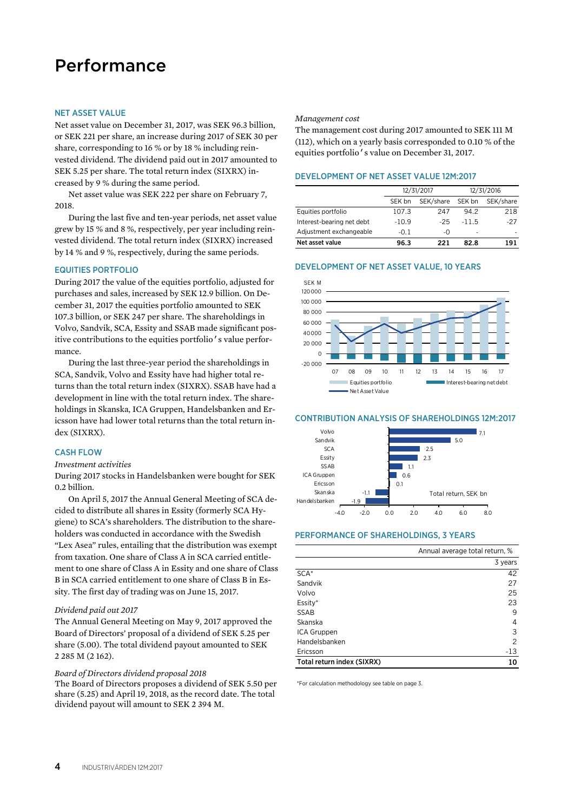# Performance

#### NET ASSET VALUE

Net asset value on December 31, 2017, was SEK 96.3 billion, or SEK 221 per share, an increase during 2017 of SEK 30 per share, corresponding to 16 % or by 18 % including reinvested dividend. The dividend paid out in 2017 amounted to SEK 5.25 per share. The total return index (SIXRX) increased by 9 % during the same period.

Net asset value was SEK 222 per share on February 7, 2018.

During the last five and ten-year periods, net asset value grew by 15 % and 8 %, respectively, per year including reinvested dividend. The total return index (SIXRX) increased by 14 % and 9 %, respectively, during the same periods.

#### EQUITIES PORTFOLIO

During 2017 the value of the equities portfolio, adjusted for purchases and sales, increased by SEK 12.9 billion. On December 31, 2017 the equities portfolio amounted to SEK 107.3 billion, or SEK 247 per share. The shareholdings in Volvo, Sandvik, SCA, Essity and SSAB made significant positive contributions to the equities portfolio's value performance.

During the last three-year period the shareholdings in SCA, Sandvik, Volvo and Essity have had higher total returns than the total return index (SIXRX). SSAB have had a development in line with the total return index. The shareholdings in Skanska, ICA Gruppen, Handelsbanken and Ericsson have had lower total returns than the total return index (SIXRX).

# CASH FLOW

#### *Investment activities*

During 2017 stocks in Handelsbanken were bought for SEK 0.2 billion.

On April 5, 2017 the Annual General Meeting of SCA decided to distribute all shares in Essity (formerly SCA Hygiene) to SCA's shareholders. The distribution to the shareholders was conducted in accordance with the Swedish "Lex Asea" rules, entailing that the distribution was exempt from taxation. One share of Class A in SCA carried entitlement to one share of Class A in Essity and one share of Class B in SCA carried entitlement to one share of Class B in Essity. The first day of trading was on June 15, 2017.

#### *Dividend paid out 2017*

The Annual General Meeting on May 9, 2017 approved the Board of Directors' proposal of a dividend of SEK 5.25 per share (5.00). The total dividend payout amounted to SEK 2 285 M (2 162).

#### *Board of Directors dividend proposal 2018*

The Board of Directors proposes a dividend of SEK 5.50 per share (5.25) and April 19, 2018, as the record date. The total dividend payout will amount to SEK 2 394 M.

#### *Management cost*

The management cost during 2017 amounted to SEK 111 M (112), which on a yearly basis corresponded to 0.10 % of the equities portfolio's value on December 31, 2017.

# DEVELOPMENT OF NET ASSET VALUE 12M:2017

|                           |                     | 12/31/2017 | 12/31/2016 |           |  |
|---------------------------|---------------------|------------|------------|-----------|--|
|                           | SEK/share<br>SEK bn |            | SEK bn     | SEK/share |  |
| Equities portfolio        | 107.3               | 247        | 94.2       | 218       |  |
| Interest-bearing net debt | $-10.9$             | $-25$      | $-11.5$    | $-27$     |  |
| Adjustment exchangeable   | $-0.1$              | -0         | -          |           |  |
| Net asset value           | 96.3                | 221        | 82.8       | 191       |  |

#### DEVELOPMENT OF NET ASSET VALUE, 10 YEARS



#### CONTRIBUTION ANALYSIS OF SHAREHOLDINGS 12M:2017



#### PERFORMANCE OF SHAREHOLDINGS, 3 YEARS

|                            | Annual average total return, % |
|----------------------------|--------------------------------|
|                            | 3 years                        |
| SCA <sup>*</sup>           | 42                             |
| Sandvik                    | 27                             |
| Volvo                      | 25                             |
| Essity*                    | 23                             |
| <b>SSAB</b>                | 9                              |
| Skanska                    | 4                              |
| ICA Gruppen                | 3                              |
| Handelsbanken              | 2                              |
| Ericsson                   | $-13$                          |
| Total return index (SIXRX) | 10                             |

\*For calculation methodology see table on page 3.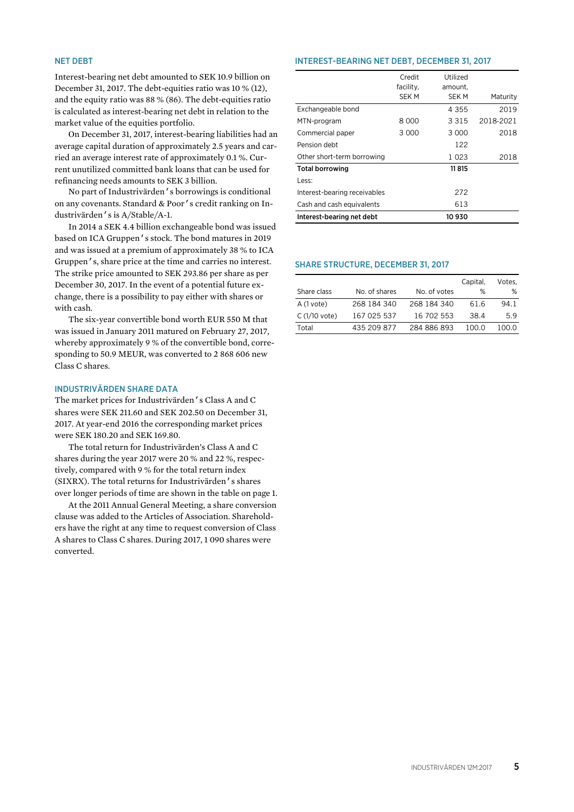# NET DEBT

Interest-bearing net debt amounted to SEK 10.9 billion on December 31, 2017. The debt-equities ratio was 10 % (12), and the equity ratio was 88 % (86). The debt-equities ratio is calculated as interest-bearing net debt in relation to the market value of the equities portfolio.

On December 31, 2017, interest-bearing liabilities had an average capital duration of approximately 2.5 years and carried an average interest rate of approximately 0.1 %. Current unutilized committed bank loans that can be used for refinancing needs amounts to SEK 3 billion.

No part of Industrivärden's borrowings is conditional on any covenants. Standard & Poor's credit ranking on Industrivärden's is A/Stable/A-1.

In 2014 a SEK 4.4 billion exchangeable bond was issued based on ICA Gruppen's stock. The bond matures in 2019 and was issued at a premium of approximately 38 % to ICA Gruppen's, share price at the time and carries no interest. The strike price amounted to SEK 293.86 per share as per December 30, 2017. In the event of a potential future exchange, there is a possibility to pay either with shares or with cash.

The six-year convertible bond worth EUR 550 M that was issued in January 2011 matured on February 27, 2017, whereby approximately 9 % of the convertible bond, corresponding to 50.9 MEUR, was converted to 2 868 606 new Class C shares.

# INDUSTRIVÄRDEN SHARE DATA

The market prices for Industrivärden's Class A and C shares were SEK 211.60 and SEK 202.50 on December 31, 2017. At year-end 2016 the corresponding market prices were SEK 180.20 and SEK 169.80.

The total return for Industrivärden's Class A and C shares during the year 2017 were 20 % and 22 %, respectively, compared with 9 % for the total return index (SIXRX). The total returns for Industrivärden's shares over longer periods of time are shown in the table on page 1.

At the 2011 Annual General Meeting, a share conversion clause was added to the Articles of Association. Shareholders have the right at any time to request conversion of Class A shares to Class C shares. During 2017, 1 090 shares were converted.

#### INTEREST-BEARING NET DEBT, DECEMBER 31, 2017

|                              | Credit<br>facility, | Utilized<br>amount, |           |
|------------------------------|---------------------|---------------------|-----------|
|                              | <b>SEKM</b>         | <b>SEKM</b>         | Maturity  |
| Exchangeable bond            |                     | 4 3 5 5             | 2019      |
| MTN-program                  | 8 000               | 3 3 1 5             | 2018-2021 |
| Commercial paper             | 3 0 0 0             | 3 0 0 0             | 2018      |
| Pension debt                 |                     | 122                 |           |
| Other short-term borrowing   |                     | 1 023               | 2018      |
| <b>Total borrowing</b>       |                     | 11815               |           |
| Less:                        |                     |                     |           |
| Interest-bearing receivables |                     | 272                 |           |
| Cash and cash equivalents    |                     | 613                 |           |
| Interest-bearing net debt    |                     | 10930               |           |

#### SHARE STRUCTURE, DECEMBER 31, 2017

|                |               |              | Capital, | Votes. |
|----------------|---------------|--------------|----------|--------|
| Share class    | No. of shares | No. of votes | %        | ℅      |
| A (1 vote)     | 268 184 340   | 268 184 340  | 61.6     | 94.1   |
| $C(1/10$ vote) | 167 025 537   | 16 702 553   | 38.4     | 5.9    |
| Total          | 435 209 877   | 284 886 893  | 100 O    | 100.O  |
|                |               |              |          |        |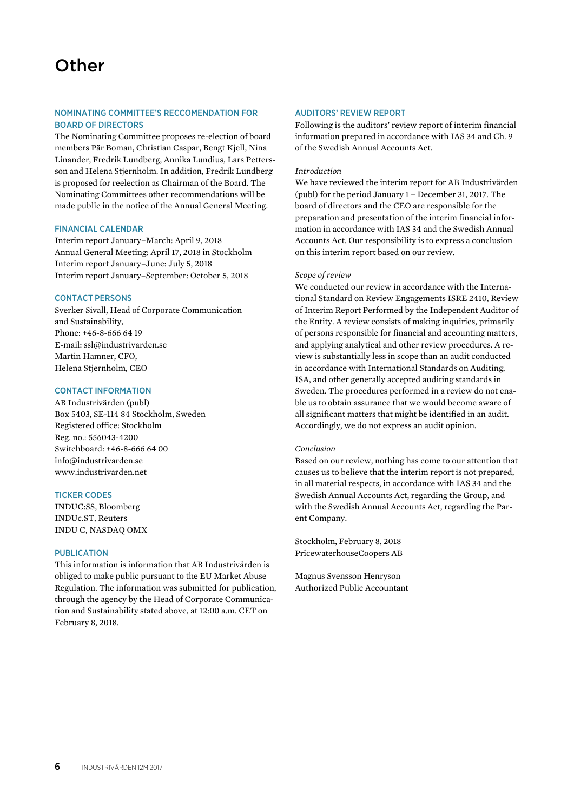# NOMINATING COMMITTEE'S RECCOMENDATION FOR BOARD OF DIRECTORS

The Nominating Committee proposes re-election of board members Pär Boman, Christian Caspar, Bengt Kjell, Nina Linander, Fredrik Lundberg, Annika Lundius, Lars Pettersson and Helena Stjernholm. In addition, Fredrik Lundberg is proposed for reelection as Chairman of the Board. The Nominating Committees other recommendations will be made public in the notice of the Annual General Meeting.

# FINANCIAL CALENDAR

Interim report January–March: April 9, 2018 Annual General Meeting: April 17, 2018 in Stockholm Interim report January–June: July 5, 2018 Interim report January–September: October 5, 2018

# CONTACT PERSONS

Sverker Sivall, Head of Corporate Communication and Sustainability, Phone: +46-8-666 64 19 E-mail: ssl@industrivarden.se Martin Hamner, CFO, Helena Stjernholm, CEO

# CONTACT INFORMATION

AB Industrivärden (publ) Box 5403, SE-114 84 Stockholm, Sweden Registered office: Stockholm Reg. no.: 556043-4200 Switchboard: +46-8-666 64 00 info@industrivarden.se www.industrivarden.net

### TICKER CODES

INDUC:SS, Bloomberg INDUc.ST, Reuters INDU C, NASDAQ OMX

# PUBLICATION

This information is information that AB Industrivärden is obliged to make public pursuant to the EU Market Abuse Regulation. The information was submitted for publication, through the agency by the Head of Corporate Communication and Sustainability stated above, at 12:00 a.m. CET on February 8, 2018.

# AUDITORS' REVIEW REPORT

Following is the auditors' review report of interim financial information prepared in accordance with IAS 34 and Ch. 9 of the Swedish Annual Accounts Act.

### *Introduction*

We have reviewed the interim report for AB Industrivärden (publ) for the period January 1 – December 31, 2017. The board of directors and the CEO are responsible for the preparation and presentation of the interim financial information in accordance with IAS 34 and the Swedish Annual Accounts Act. Our responsibility is to express a conclusion on this interim report based on our review.

# *Scope of review*

We conducted our review in accordance with the International Standard on Review Engagements ISRE 2410, Review of Interim Report Performed by the Independent Auditor of the Entity. A review consists of making inquiries, primarily of persons responsible for financial and accounting matters, and applying analytical and other review procedures. A review is substantially less in scope than an audit conducted in accordance with International Standards on Auditing, ISA, and other generally accepted auditing standards in Sweden. The procedures performed in a review do not enable us to obtain assurance that we would become aware of all significant matters that might be identified in an audit. Accordingly, we do not express an audit opinion.

### *Conclusion*

Based on our review, nothing has come to our attention that causes us to believe that the interim report is not prepared, in all material respects, in accordance with IAS 34 and the Swedish Annual Accounts Act, regarding the Group, and with the Swedish Annual Accounts Act, regarding the Parent Company.

Stockholm, February 8, 2018 PricewaterhouseCoopers AB

Magnus Svensson Henryson Authorized Public Accountant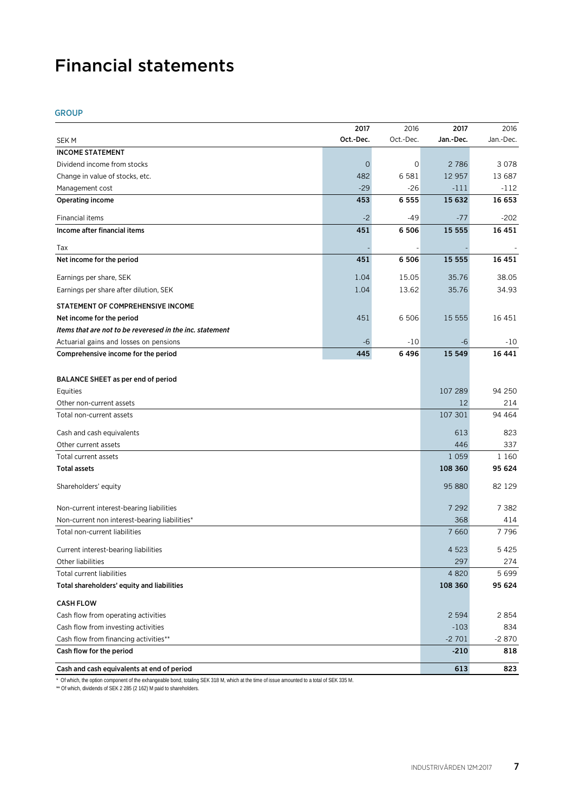# Financial statements

# GROUP

|                                                          | 2017        | 2016      | 2017              | 2016      |
|----------------------------------------------------------|-------------|-----------|-------------------|-----------|
| <b>SEKM</b>                                              | Oct.-Dec.   | Oct.-Dec. | Jan.-Dec.         | Jan.-Dec. |
| <b>INCOME STATEMENT</b>                                  |             |           |                   |           |
| Dividend income from stocks                              | $\mathbf 0$ | 0         | 2786              | 3078      |
| Change in value of stocks, etc.                          | 482         | 6 5 8 1   | 12 957            | 13 687    |
| Management cost                                          | $-29$       | $-26$     | $-111$            | $-112$    |
| Operating income                                         | 453         | 6 5 5 5   | 15 632            | 16 653    |
| Financial items                                          | $-2$        | -49       | $-77$             | -202      |
| Income after financial items                             | 451         | 6 5 0 6   | 15 555            | 16 451    |
|                                                          |             |           |                   |           |
| Tax                                                      |             |           |                   |           |
| Net income for the period                                | 451         | 6 506     | 15 5 5 5          | 16 451    |
| Earnings per share, SEK                                  | 1.04        | 15.05     | 35.76             | 38.05     |
| Earnings per share after dilution, SEK                   | 1.04        | 13.62     | 35.76             | 34.93     |
| STATEMENT OF COMPREHENSIVE INCOME                        |             |           |                   |           |
| Net income for the period                                | 451         | 6 506     | 15 5 5 5          | 16 451    |
| Items that are not to be reveresed in the inc. statement |             |           |                   |           |
| Actuarial gains and losses on pensions                   | $-6$        | $-10$     | -6                | $-10$     |
| Comprehensive income for the period                      | 445         | 6496      | 15 549            | 16 441    |
|                                                          |             |           |                   |           |
| BALANCE SHEET as per end of period                       |             |           |                   |           |
| Equities                                                 |             |           | 107 289           | 94 250    |
| Other non-current assets                                 |             |           | 12                | 214       |
| Total non-current assets                                 |             |           | 107 301           | 94 4 64   |
| Cash and cash equivalents                                |             |           | 613               | 823       |
| Other current assets                                     |             |           | 446               | 337       |
| Total current assets                                     |             |           | 1 0 5 9           | 1 1 6 0   |
| <b>Total assets</b>                                      |             |           | 108 360           | 95 624    |
|                                                          |             |           |                   |           |
| Shareholders' equity                                     |             |           | 95 880            | 82 1 29   |
| Non-current interest-bearing liabilities                 |             |           | 7 2 9 2           | 7 3 8 2   |
| Non-current non interest-bearing liabilities*            |             |           | 368               | 414       |
| Total non-current liabilities                            |             |           | 7660              | 7796      |
| Current interest-bearing liabilities                     |             |           | 4 5 2 3           | 5425      |
| Other liabilities                                        |             |           | 297               | 274       |
| <b>Total current liabilities</b>                         |             |           | 4 8 20            | 5699      |
| Total shareholders' equity and liabilities               |             |           | 108 360           | 95 624    |
|                                                          |             |           |                   |           |
| <b>CASH FLOW</b>                                         |             |           |                   |           |
| Cash flow from operating activities                      |             |           | 2 5 9 4<br>$-103$ | 2854      |
| Cash flow from investing activities                      |             |           |                   | 834       |
| Cash flow from financing activities**                    |             |           | -2 701            | $-2870$   |
| Cash flow for the period                                 |             |           | $-210$            | 818       |
| Cash and cash equivalents at end of period               |             |           | 613               | 823       |

\* Of which, the option component of the exhangeable bond, totaling SEK 318 M, which at the time of issue amounted to a total of SEK 335 M.

\*\* Of which, dividends of SEK 2 285 (2 162) M paid to shareholders.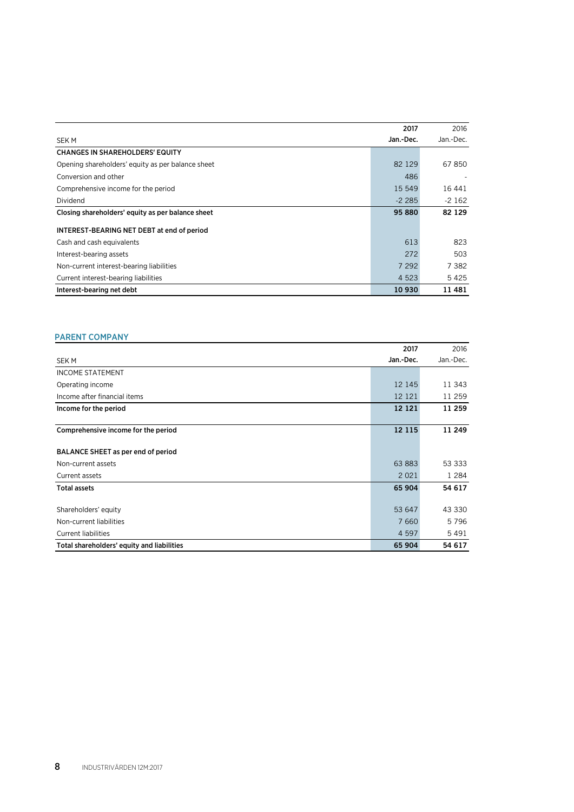|                                                   | 2017      | 2016      |
|---------------------------------------------------|-----------|-----------|
| SEK M                                             | Jan.-Dec. | Jan.-Dec. |
| <b>CHANGES IN SHAREHOLDERS' EQUITY</b>            |           |           |
| Opening shareholders' equity as per balance sheet | 82 1 29   | 67850     |
| Conversion and other                              | 486       |           |
| Comprehensive income for the period               | 15 549    | 16 44 1   |
| Dividend                                          | $-2285$   | $-2162$   |
| Closing shareholders' equity as per balance sheet | 95 880    | 82 129    |
| INTEREST-BEARING NET DEBT at end of period        |           |           |
| Cash and cash equivalents                         | 613       | 823       |
| Interest-bearing assets                           | 272       | 503       |
| Non-current interest-bearing liabilities          | 7 2 9 2   | 7 382     |
| Current interest-bearing liabilities              | 4 5 2 3   | 5425      |
| Interest-bearing net debt                         | 10 930    | 11 481    |

# PARENT COMPANY

|                                            | 2017      | 2016      |
|--------------------------------------------|-----------|-----------|
| <b>SEK M</b>                               | Jan.-Dec. | Jan.-Dec. |
| <b>INCOME STATEMENT</b>                    |           |           |
| Operating income                           | 12 145    | 11 343    |
| Income after financial items               | 12 12 1   | 11 259    |
| Income for the period                      | 12 12 1   | 11 259    |
|                                            |           |           |
| Comprehensive income for the period        | 12 115    | 11 249    |
| BALANCE SHEET as per end of period         |           |           |
| Non-current assets                         | 63 883    | 53 333    |
| Current assets                             | 2 0 2 1   | 1 2 8 4   |
| <b>Total assets</b>                        | 65 904    | 54 617    |
|                                            |           |           |
| Shareholders' equity                       | 53 647    | 43 330    |
| Non-current liabilities                    | 7 6 6 0   | 5796      |
| <b>Current liabilities</b>                 | 4 5 9 7   | 5491      |
| Total shareholders' equity and liabilities | 65 904    | 54 617    |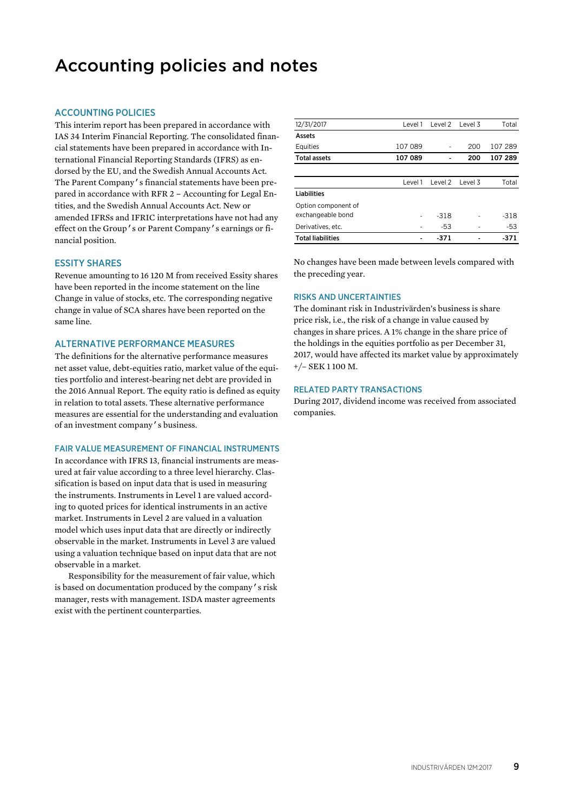# Accounting policies and notes

# ACCOUNTING POLICIES

This interim report has been prepared in accordance with IAS 34 Interim Financial Reporting. The consolidated financial statements have been prepared in accordance with International Financial Reporting Standards (IFRS) as endorsed by the EU, and the Swedish Annual Accounts Act. The Parent Company's financial statements have been prepared in accordance with RFR 2 – Accounting for Legal Entities, and the Swedish Annual Accounts Act. New or amended IFRSs and IFRIC interpretations have not had any effect on the Group's or Parent Company's earnings or financial position.

### ESSITY SHARES

Revenue amounting to 16 120 M from received Essity shares have been reported in the income statement on the line Change in value of stocks, etc. The corresponding negative change in value of SCA shares have been reported on the same line.

# ALTERNATIVE PERFORMANCE MEASURES

The definitions for the alternative performance measures net asset value, debt-equities ratio, market value of the equities portfolio and interest-bearing net debt are provided in the 2016 Annual Report. The equity ratio is defined as equity in relation to total assets. These alternative performance measures are essential for the understanding and evaluation of an investment company's business.

#### FAIR VALUE MEASUREMENT OF FINANCIAL INSTRUMENTS

In accordance with IFRS 13, financial instruments are measured at fair value according to a three level hierarchy. Classification is based on input data that is used in measuring the instruments. Instruments in Level 1 are valued according to quoted prices for identical instruments in an active market. Instruments in Level 2 are valued in a valuation model which uses input data that are directly or indirectly observable in the market. Instruments in Level 3 are valued using a valuation technique based on input data that are not observable in a market.

Responsibility for the measurement of fair value, which is based on documentation produced by the company's risk manager, rests with management. ISDA master agreements exist with the pertinent counterparties.

| 12/31/2017               | Level 1 | Level 2 | Level 3 | Total   |
|--------------------------|---------|---------|---------|---------|
| Assets                   |         |         |         |         |
| Equities                 | 107 089 |         | 200     | 107 289 |
| <b>Total assets</b>      | 107 089 |         | 200     | 107 289 |
|                          |         |         |         |         |
|                          | Level 1 | Level 2 | Level 3 | Total   |
| Liabilities              |         |         |         |         |
| Option component of      |         |         |         |         |
| exchangeable bond        |         | $-318$  |         | $-318$  |
| Derivatives, etc.        |         | $-53$   | ۰       | -53     |
| <b>Total liabilities</b> |         | $-371$  |         | -371    |

No changes have been made between levels compared with the preceding year.

### RISKS AND UNCERTAINTIES

The dominant risk in Industrivärden's business is share price risk, i.e., the risk of a change in value caused by changes in share prices. A 1% change in the share price of the holdings in the equities portfolio as per December 31, 2017, would have affected its market value by approximately +/– SEK 1 100 M.

#### RELATED PARTY TRANSACTIONS

During 2017, dividend income was received from associated companies.